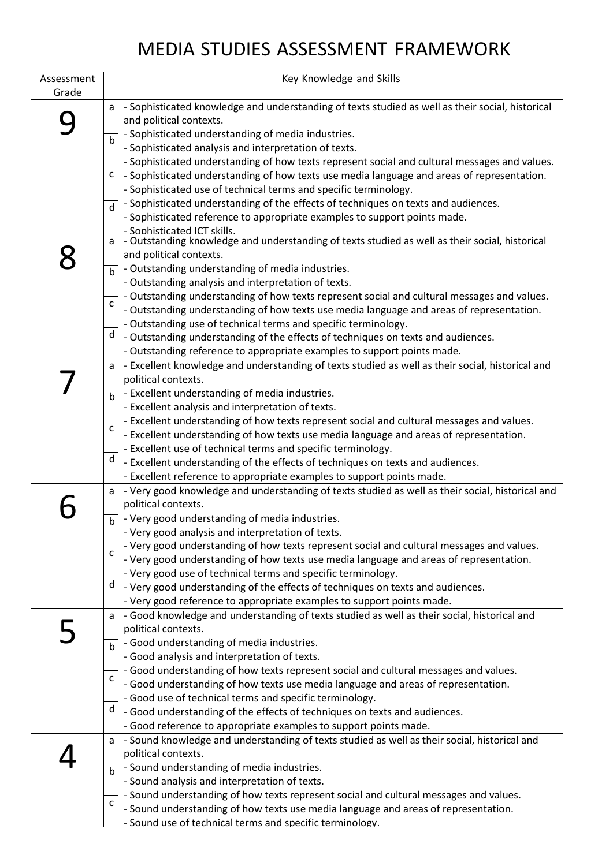## MEDIA STUDIES ASSESSMENT FRAMEWORK

| Assessment |              | Key Knowledge and Skills                                                                         |
|------------|--------------|--------------------------------------------------------------------------------------------------|
| Grade      |              |                                                                                                  |
|            | a            | - Sophisticated knowledge and understanding of texts studied as well as their social, historical |
|            |              | and political contexts.                                                                          |
|            |              | - Sophisticated understanding of media industries.                                               |
|            |              | - Sophisticated analysis and interpretation of texts.                                            |
|            |              | - Sophisticated understanding of how texts represent social and cultural messages and values.    |
|            | C            | - Sophisticated understanding of how texts use media language and areas of representation.       |
|            |              | - Sophisticated use of technical terms and specific terminology.                                 |
|            |              | - Sophisticated understanding of the effects of techniques on texts and audiences.               |
|            | $\mathsf{d}$ | - Sophisticated reference to appropriate examples to support points made.                        |
|            |              | - Sophisticated ICT skills.                                                                      |
|            | a            | - Outstanding knowledge and understanding of texts studied as well as their social, historical   |
|            |              | and political contexts.                                                                          |
|            | $\mathbf b$  | - Outstanding understanding of media industries.                                                 |
|            |              | - Outstanding analysis and interpretation of texts.                                              |
|            |              | - Outstanding understanding of how texts represent social and cultural messages and values.      |
|            | c            | - Outstanding understanding of how texts use media language and areas of representation.         |
|            |              | - Outstanding use of technical terms and specific terminology.                                   |
|            | d            | - Outstanding understanding of the effects of techniques on texts and audiences.                 |
|            |              | - Outstanding reference to appropriate examples to support points made.                          |
|            | a l          | - Excellent knowledge and understanding of texts studied as well as their social, historical and |
|            |              | political contexts.                                                                              |
|            |              | - Excellent understanding of media industries.                                                   |
|            | $\mathbf b$  | - Excellent analysis and interpretation of texts.                                                |
|            |              | - Excellent understanding of how texts represent social and cultural messages and values.        |
|            | C            | - Excellent understanding of how texts use media language and areas of representation.           |
|            |              | - Excellent use of technical terms and specific terminology.                                     |
|            | d            | - Excellent understanding of the effects of techniques on texts and audiences.                   |
|            |              | - Excellent reference to appropriate examples to support points made.                            |
|            | a            | - Very good knowledge and understanding of texts studied as well as their social, historical and |
|            |              | political contexts.                                                                              |
|            |              | - Very good understanding of media industries.                                                   |
|            |              | - Very good analysis and interpretation of texts.                                                |
|            |              | - Very good understanding of how texts represent social and cultural messages and values.        |
|            | $\mathsf{C}$ | - Very good understanding of how texts use media language and areas of representation.           |
|            |              | - Very good use of technical terms and specific terminology.                                     |
|            | d            | - Very good understanding of the effects of techniques on texts and audiences.                   |
|            |              | - Very good reference to appropriate examples to support points made.                            |
|            | a            | - Good knowledge and understanding of texts studied as well as their social, historical and      |
|            |              | political contexts.                                                                              |
|            |              | - Good understanding of media industries.                                                        |
|            |              | - Good analysis and interpretation of texts.                                                     |
|            |              | - Good understanding of how texts represent social and cultural messages and values.             |
|            | $\mathsf{C}$ | - Good understanding of how texts use media language and areas of representation.                |
|            |              | - Good use of technical terms and specific terminology.                                          |
|            | d            | - Good understanding of the effects of techniques on texts and audiences.                        |
|            |              | - Good reference to appropriate examples to support points made.                                 |
|            | a            | - Sound knowledge and understanding of texts studied as well as their social, historical and     |
|            |              | political contexts.                                                                              |
|            |              | - Sound understanding of media industries.                                                       |
|            | $\mathsf{b}$ | - Sound analysis and interpretation of texts.                                                    |
|            |              | - Sound understanding of how texts represent social and cultural messages and values.            |
|            | $\mathsf{C}$ | - Sound understanding of how texts use media language and areas of representation.               |
|            |              |                                                                                                  |
|            |              | - Sound use of technical terms and specific terminology.                                         |